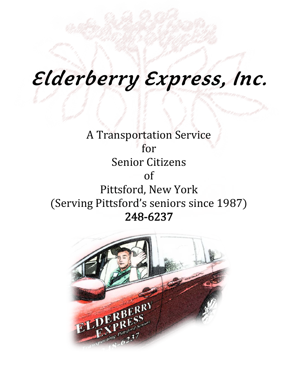# **Elderberry Express, Inc.**

A Transportation Service for Senior Citizens of Pittsford, New York (Serving Pittsford's seniors since 1987) 248-6237

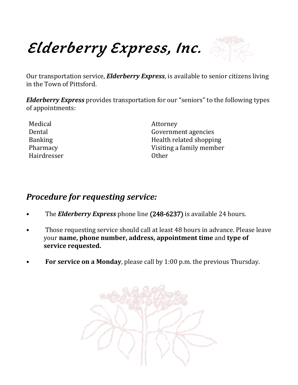**Elderberry Express, Inc.**



Our transportation service, *Elderberry Express*, is available to senior citizens living in the Town of Pittsford.

*Elderberry Express* provides transportation for our "seniors" to the following types of appointments:

| Medical        | Attorney                 |
|----------------|--------------------------|
| Dental         | Government agencies      |
| <b>Banking</b> | Health related shopping  |
| Pharmacy       | Visiting a family member |
| Hairdresser    | <b>Other</b>             |
|                |                          |

### *Procedure for requesting service:*

- The *Elderberry Express* phone line (248-6237) is available 24 hours.
- Those requesting service should call at least 48 hours in advance. Please leave your **name, phone number, address, appointment time** and **type of service requested.**
- **For service on a Monday**, please call by 1:00 p.m. the previous Thursday.

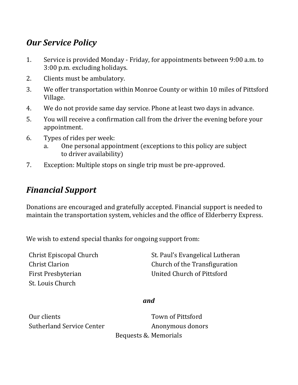## *Our Service Policy*

- 1. Service is provided Monday Friday, for appointments between 9:00 a.m. to 3:00 p.m. excluding holidays.
- 2. Clients must be ambulatory.
- 3. We offer transportation within Monroe County or within 10 miles of Pittsford Village.
- 4. We do not provide same day service. Phone at least two days in advance.
- 5. You will receive a confirmation call from the driver the evening before your appointment.
- 6. Types of rides per week:
	- One personal appointment (exceptions to this policy are subject to driver availability)
- 7. Exception: Multiple stops on single trip must be pre-approved.

# *Financial Support*

Donations are encouraged and gratefully accepted. Financial support is needed to maintain the transportation system, vehicles and the office of Elderberry Express.

We wish to extend special thanks for ongoing support from:

First Presbyterian **Exercise State Church of Pittsford** St. Louis Church

Christ Episcopal Church St. Paul's Evangelical Lutheran Christ Clarion Church of the Transfiguration

#### *and*

Our clients Town of Pittsford Sutherland Service Center **Anonymous donors** Bequests &. Memorials